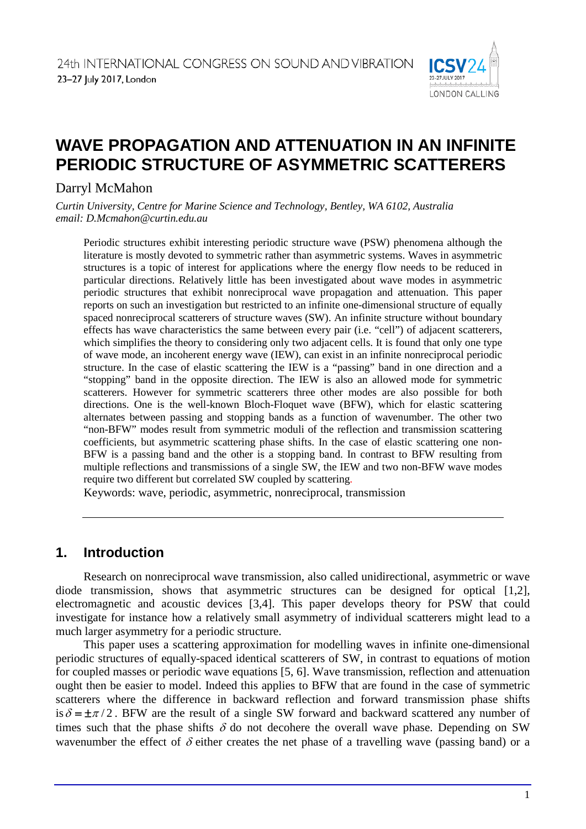

# **WAVE PROPAGATION AND ATTENUATION IN AN INFINITE PERIODIC STRUCTURE OF ASYMMETRIC SCATTERERS**

# Darryl McMahon

*Curtin University, Centre for Marine Science and Technology, Bentley, WA 6102, Australia email: D.Mcmahon@curtin.edu.au*

Periodic structures exhibit interesting periodic structure wave (PSW) phenomena although the literature is mostly devoted to symmetric rather than asymmetric systems. Waves in asymmetric structures is a topic of interest for applications where the energy flow needs to be reduced in particular directions. Relatively little has been investigated about wave modes in asymmetric periodic structures that exhibit nonreciprocal wave propagation and attenuation. This paper reports on such an investigation but restricted to an infinite one-dimensional structure of equally spaced nonreciprocal scatterers of structure waves (SW). An infinite structure without boundary effects has wave characteristics the same between every pair (i.e. "cell") of adjacent scatterers, which simplifies the theory to considering only two adjacent cells. It is found that only one type of wave mode, an incoherent energy wave (IEW), can exist in an infinite nonreciprocal periodic structure. In the case of elastic scattering the IEW is a "passing" band in one direction and a "stopping" band in the opposite direction. The IEW is also an allowed mode for symmetric scatterers. However for symmetric scatterers three other modes are also possible for both directions. One is the well-known Bloch-Floquet wave (BFW), which for elastic scattering alternates between passing and stopping bands as a function of wavenumber. The other two "non-BFW" modes result from symmetric moduli of the reflection and transmission scattering coefficients, but asymmetric scattering phase shifts. In the case of elastic scattering one non-BFW is a passing band and the other is a stopping band. In contrast to BFW resulting from multiple reflections and transmissions of a single SW, the IEW and two non-BFW wave modes require two different but correlated SW coupled by scattering.

Keywords: wave, periodic, asymmetric, nonreciprocal, transmission

# **1. Introduction**

Research on nonreciprocal wave transmission, also called unidirectional, asymmetric or wave diode transmission, shows that asymmetric structures can be designed for optical [1,2], electromagnetic and acoustic devices [3,4]. This paper develops theory for PSW that could investigate for instance how a relatively small asymmetry of individual scatterers might lead to a much larger asymmetry for a periodic structure.

This paper uses a scattering approximation for modelling waves in infinite one-dimensional periodic structures of equally-spaced identical scatterers of SW, in contrast to equations of motion for coupled masses or periodic wave equations [5, 6]. Wave transmission, reflection and attenuation ought then be easier to model. Indeed this applies to BFW that are found in the case of symmetric scatterers where the difference in backward reflection and forward transmission phase shifts is  $\delta = \pm \pi/2$ . BFW are the result of a single SW forward and backward scattered any number of times such that the phase shifts  $\delta$  do not decohere the overall wave phase. Depending on SW wavenumber the effect of  $\delta$  either creates the net phase of a travelling wave (passing band) or a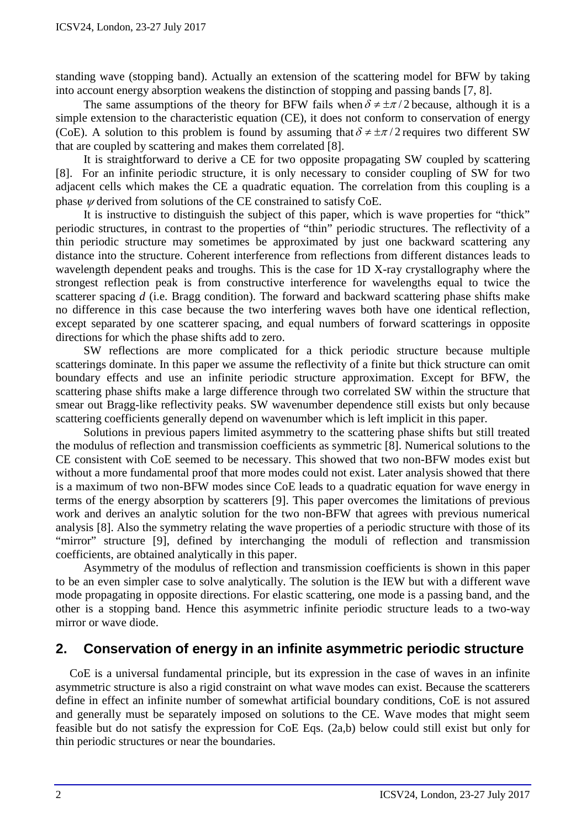standing wave (stopping band). Actually an extension of the scattering model for BFW by taking into account energy absorption weakens the distinction of stopping and passing bands [7, 8].

The same assumptions of the theory for BFW fails when  $\delta \neq \pm \pi/2$  because, although it is a simple extension to the characteristic equation (CE), it does not conform to conservation of energy (CoE). A solution to this problem is found by assuming that  $\delta \neq \pm \pi/2$  requires two different SW that are coupled by scattering and makes them correlated [8].

It is straightforward to derive a CE for two opposite propagating SW coupled by scattering [8]. For an infinite periodic structure, it is only necessary to consider coupling of SW for two adjacent cells which makes the CE a quadratic equation. The correlation from this coupling is a phase <sup>ψ</sup> derived from solutions of the CE constrained to satisfy CoE.

It is instructive to distinguish the subject of this paper, which is wave properties for "thick" periodic structures, in contrast to the properties of "thin" periodic structures. The reflectivity of a thin periodic structure may sometimes be approximated by just one backward scattering any distance into the structure. Coherent interference from reflections from different distances leads to wavelength dependent peaks and troughs. This is the case for 1D X-ray crystallography where the strongest reflection peak is from constructive interference for wavelengths equal to twice the scatterer spacing *d* (i.e. Bragg condition). The forward and backward scattering phase shifts make no difference in this case because the two interfering waves both have one identical reflection, except separated by one scatterer spacing, and equal numbers of forward scatterings in opposite directions for which the phase shifts add to zero.

SW reflections are more complicated for a thick periodic structure because multiple scatterings dominate. In this paper we assume the reflectivity of a finite but thick structure can omit boundary effects and use an infinite periodic structure approximation. Except for BFW, the scattering phase shifts make a large difference through two correlated SW within the structure that smear out Bragg-like reflectivity peaks. SW wavenumber dependence still exists but only because scattering coefficients generally depend on wavenumber which is left implicit in this paper.

Solutions in previous papers limited asymmetry to the scattering phase shifts but still treated the modulus of reflection and transmission coefficients as symmetric [8]. Numerical solutions to the CE consistent with CoE seemed to be necessary. This showed that two non-BFW modes exist but without a more fundamental proof that more modes could not exist. Later analysis showed that there is a maximum of two non-BFW modes since CoE leads to a quadratic equation for wave energy in terms of the energy absorption by scatterers [9]. This paper overcomes the limitations of previous work and derives an analytic solution for the two non-BFW that agrees with previous numerical analysis [8]. Also the symmetry relating the wave properties of a periodic structure with those of its "mirror" structure [9], defined by interchanging the moduli of reflection and transmission coefficients, are obtained analytically in this paper.

Asymmetry of the modulus of reflection and transmission coefficients is shown in this paper to be an even simpler case to solve analytically. The solution is the IEW but with a different wave mode propagating in opposite directions. For elastic scattering, one mode is a passing band, and the other is a stopping band. Hence this asymmetric infinite periodic structure leads to a two-way mirror or wave diode.

# **2. Conservation of energy in an infinite asymmetric periodic structure**

CoE is a universal fundamental principle, but its expression in the case of waves in an infinite asymmetric structure is also a rigid constraint on what wave modes can exist. Because the scatterers define in effect an infinite number of somewhat artificial boundary conditions, CoE is not assured and generally must be separately imposed on solutions to the CE. Wave modes that might seem feasible but do not satisfy the expression for CoE Eqs. (2a,b) below could still exist but only for thin periodic structures or near the boundaries.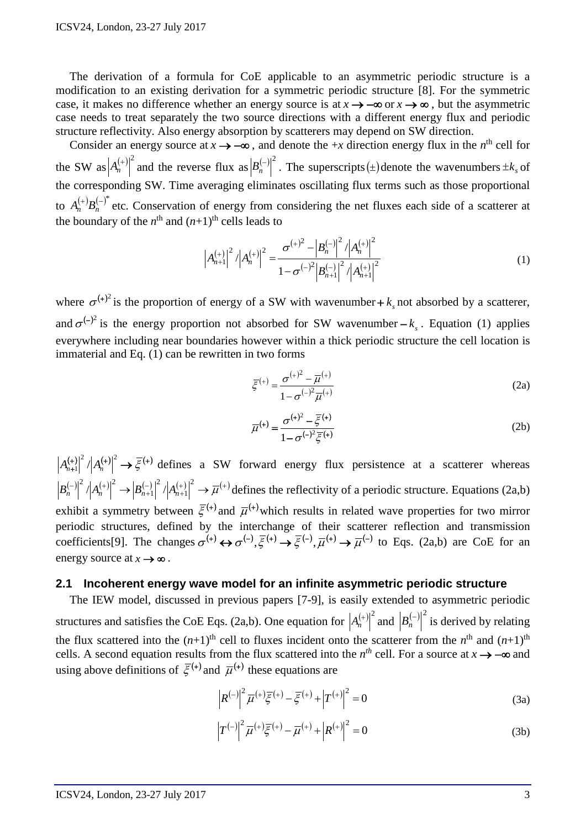The derivation of a formula for CoE applicable to an asymmetric periodic structure is a modification to an existing derivation for a symmetric periodic structure [8]. For the symmetric case, it makes no difference whether an energy source is at  $x \to -\infty$  or  $x \to \infty$ , but the asymmetric case needs to treat separately the two source directions with a different energy flux and periodic structure reflectivity. Also energy absorption by scatterers may depend on SW direction.

Consider an energy source at  $x \rightarrow -\infty$ , and denote the +*x* direction energy flux in the *n*<sup>th</sup> cell for the SW as  $|A_n^{(+)}|^2$  and the reverse flux as  $|B_n^{(-)}|^2$ . The superscripts (±)denote the wavenumbers  $\pm k_s$  of the corresponding SW. Time averaging eliminates oscillating flux terms such as those proportional to  $A_n^{(+)}B_n^{(-)}$  etc. Conservation of energy from considering the net fluxes each side of a scatterer at the boundary of the  $n^{\text{th}}$  and  $(n+1)^{\text{th}}$  cells leads to

$$
\left| A_{n+1}^{(+)} \right|^2 / \left| A_n^{(+)} \right|^2 = \frac{\sigma^{(+)^2} - \left| B_n^{(-)} \right|^2 / \left| A_n^{(+)} \right|^2}{1 - \sigma^{(-)^2} \left| B_{n+1}^{(-)} \right|^2 / \left| A_{n+1}^{(+)} \right|^2}
$$
(1)

where  $\sigma^{(+)}$  is the proportion of energy of a SW with wavenumber +  $k_s$  not absorbed by a scatterer, and  $\sigma^{(-)}$  is the energy proportion not absorbed for SW wavenumber  $-k_s$ . Equation (1) applies everywhere including near boundaries however within a thick periodic structure the cell location is immaterial and Eq. (1) can be rewritten in two forms

$$
\bar{\xi}^{(+)} = \frac{\sigma^{(+)^2} - \bar{\mu}^{(+)}}{1 - \sigma^{(-)^2} \bar{\mu}^{(+)}}
$$
 (2a)

$$
\overline{\mu}^{(+)} = \frac{\sigma^{(+)^2} - \overline{\xi}^{(+)}}{1 - \sigma^{(-)^2} \overline{\xi}^{(+)}}
$$
\n(2b)

 $(A_{n+1}^{(+)} |^2 / |A_n^{(+)}|^2 \rightarrow \overline{\xi}^{(+)}$  defines a SW forward energy flux persistence at a scatterer whereas  $(-)|^2$   $\left| \right|$   $\left| \right|$   $(+) |^2$   $\left| \right|$   $\left| \right|$   $\left| \right|$   $\left| \right|$   $\left| \right|$   $\left| \right|$   $\left| \right|$   $\left| \right|$   $\left| \right|$   $\left| \right|$   $\left| \right|$   $\left| \right|$   $\left| \right|$   $\left| \right|$   $\left| \right|$   $\left| \right|$   $\left| \right|$   $\left| \right|$   $\left| \right|$   $\left| \right|$   $\left| \right|$ + −  $\left\vert \left( \begin{matrix} -\end{matrix} \right) \right\vert^2 \left\vert A_n^{(+)} \right\vert^2 \rightarrow \left\vert B_{n+1}^{(-)} \right\vert^2 \left\vert A_{n+1}^{(+)} \right\vert^2 \rightarrow \overline{\mu}$ 1 2 1  $B_n^{(-)} \big|^{2} / |A_n^{(+)}|^2 \rightarrow |B_{n+1}^{(-)}|^2 / |A_{n+1}^{(+)}|^2 \rightarrow \overline{\mu}^{(+)}$  defines the reflectivity of a periodic structure. Equations (2a,b) exhibit a symmetry between  $\bar{\xi}^{(+)}$  and  $\bar{\mu}^{(+)}$  which results in related wave properties for two mirror periodic structures, defined by the interchange of their scatterer reflection and transmission coefficients[9]. The changes  $\sigma^{(+)} \leftrightarrow \sigma^{(-)}, \bar{\xi}^{(+)} \rightarrow \bar{\xi}^{(-)}, \bar{\mu}^{(+)} \rightarrow \bar{\mu}^{(-)}$  to Eqs. (2a,b) are CoE for an energy source at  $x \rightarrow \infty$ .

#### **2.1 Incoherent energy wave model for an infinite asymmetric periodic structure**

The IEW model, discussed in previous papers [7-9], is easily extended to asymmetric periodic structures and satisfies the CoE Eqs. (2a,b). One equation for  $|A_n^{(+)}|^2$  and  $|B_n^{(-)}|^2$  is derived by relating the flux scattered into the  $(n+1)$ <sup>th</sup> cell to fluxes incident onto the scatterer from the  $n<sup>th</sup>$  and  $(n+1)<sup>th</sup>$ cells. A second equation results from the flux scattered into the  $n^{th}$  cell. For a source at  $x \rightarrow -\infty$  and using above definitions of  $\bar{\xi}^{(+)}$  and  $\bar{\mu}^{(+)}$  these equations are

$$
\left| R^{(-)} \right|^2 \overline{\mu}^{(+)} \overline{\xi}^{(+)} - \overline{\xi}^{(+)} + \left| T^{(+)} \right|^2 = 0 \tag{3a}
$$

$$
\left| T^{(-)} \right|^2 \overline{\mu}^{(+)} \overline{\xi}^{(+)} - \overline{\mu}^{(+)} + \left| R^{(+)} \right|^2 = 0 \tag{3b}
$$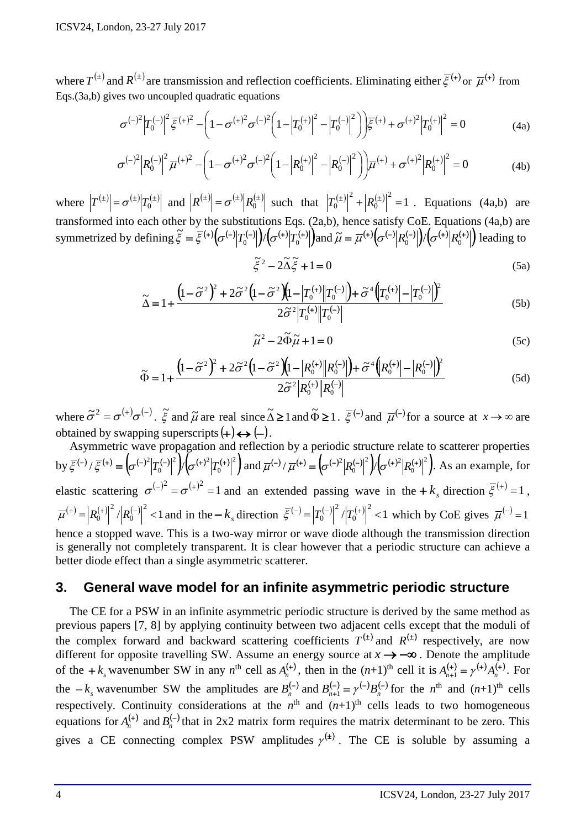where  $T^{(\pm)}$  and  $R^{(\pm)}$  are transmission and reflection coefficients. Eliminating either  $\bar{\xi}^{(+)}$  or  $\bar{\mu}^{(+)}$  from Eqs.(3a,b) gives two uncoupled quadratic equations

$$
\sigma^{(-)^{2}}|T_{0}^{(-)}|^{2}\bar{\xi}^{(+)^{2}} - \left(1 - \sigma^{(+)^{2}}\sigma^{(-)^{2}}\left(1 - \left|T_{0}^{(+)}\right|^{2} - \left|T_{0}^{(-)}\right|^{2}\right)\right)\bar{\xi}^{(+)} + \sigma^{(+)^{2}}\left|T_{0}^{(+)}\right|^{2} = 0
$$
\n(4a)

$$
\sigma^{(-)^{2}} \left| R_{0}^{(-)} \right|^{2} \overline{\mu}^{(+)^{2}} - \left( 1 - \sigma^{(+)^{2}} \sigma^{(-)^{2}} \left( 1 - \left| R_{0}^{(+)} \right|^{2} - \left| R_{0}^{(-)} \right|^{2} \right) \right) \overline{\mu}^{(+)} + \sigma^{(+)^{2}} \left| R_{0}^{(+)} \right|^{2} = 0
$$
\n(4b)

where  $|T^{(\pm)}| = \sigma^{(\pm)}|T_0^{(\pm)}|$  and  $|R^{(\pm)}| = \sigma^{(\pm)}|R_0^{(\pm)}|$  such that  $|T_0^{(\pm)}|^2 + |R_0^{(\pm)}|^2 = 1$  $\mathbf{0}$  $|T_0^{(\pm)}|^2 + |R_0^{(\pm)}|^2 = 1$ . Equations (4a,b) are transformed into each other by the substitutions Eqs. (2a,b), hence satisfy CoE. Equations (4a,b) are symmetrized by defining  $\tilde{\xi} = \overline{\xi}^{(+)}(\sigma^{(-)}|T_0^{(-)}|)(\sigma^{(+)}|T_0^{(+)}|)$  and  $\tilde{\mu} = \overline{\mu}^{(+)}(\sigma^{(-)}|R_0^{(-)}|)(\sigma^{(+)}|R_0^{(+)}|)$  leading to

$$
\tilde{\xi}^2 - 2\tilde{\Delta}\tilde{\xi} + 1 = 0
$$
 (5a)

$$
\widetilde{\Delta} = 1 + \frac{\left(1 - \widetilde{\sigma}^2\right)^2 + 2\widetilde{\sigma}^2 \left(1 - \widetilde{\sigma}^2\right) \left(1 - \left|T_0^{(+)}\right| \left|T_0^{(-)}\right|\right) + \widetilde{\sigma}^4 \left(\left|T_0^{(+)}\right| - \left|T_0^{(-)}\right|\right)^2}{2\widetilde{\sigma}^2 \left|T_0^{(+)}\right| \left|T_0^{(-)}\right|} \tag{5b}
$$

$$
\tilde{\mu}^2 - 2\tilde{\Phi}\tilde{\mu} + 1 = 0
$$
 (5c)

$$
\widetilde{\Phi} = 1 + \frac{\left(1 - \widetilde{\sigma}^2\right)^2 + 2\widetilde{\sigma}^2 \left(1 - \widetilde{\sigma}^2\right) \left(1 - \left|R_0^{(+)}\right| \left|R_0^{(-)}\right|\right) + \widetilde{\sigma}^4 \left(R_0^{(+)}\right| - \left|R_0^{(-)}\right|)^2}{2\widetilde{\sigma}^2 \left|R_0^{(+)}\right| \left|R_0^{(-)}\right|} \tag{5d}
$$

where  $\tilde{\sigma}^2 = \sigma^{(+)} \sigma^{(-)}$ .  $\tilde{\xi}$  and  $\tilde{\mu}$  are real since  $\tilde{\Delta} \ge 1$  and  $\tilde{\Phi} \ge 1$ .  $\tilde{\xi}^{(-)}$  and  $\tilde{\mu}^{(-)}$  for a source at  $x \to \infty$  are obtained by swapping superscripts  $(+) \leftrightarrow (-)$ .

Asymmetric wave propagation and reflection by a periodic structure relate to scatterer properties by  $\bar{\xi}^{(-)} / \bar{\xi}^{(+)} = \left( \sigma^{(-)^2} |T_0^{(-)}|^2 \right) / \left( \sigma^{(+)^2} |T_0^{(+)}|^2 \right)$  $^{2}$   $\int$   $(4)^{2}$  $\mathbf{0}$  $\overline{\xi}^{(-)} / \overline{\xi}^{(+)} = \left( \sigma^{(-)^2} |T_0^{(-)}|^2 \right) / \left( \sigma^{(+)^2} |T_0^{(+)}|^2 \right)$  and  $\overline{\mu}^{(-)} / \overline{\mu}^{(+)} = \left( \sigma^{(-)^2} |R_0^{(-)}|^2 \right) / \left( \sigma^{(+)^2} |R_0^{(+)}|^2 \right)$  $2 \frac{1}{2}$   $(1)^2$  $\mathbf{0}$  $\overline{\mu}^{(-)} / \overline{\mu}^{(+)} = \left( \sigma^{(-)^2} |R_0^{(-)}|^2 \right) / \left( \sigma^{(+)^2} |R_0^{(+)}|^2 \right)$ . As an example, for elastic scattering  $\sigma^{(-)}^2 = \sigma^{(+)}^2 = 1$  and an extended passing wave in the  $+k_s$  direction  $\bar{\xi}^{(+)} = 1$ ,  $\left| \left( 0^{+} \right) \right| = \left| R_{0}^{(+)} \right|^{2} / \left| R_{0}^{(-)} \right|^{2} < 1$  $\overline{0}$  $\overline{\mu}^{(+)} = |R_0^{(+)}|^2 / |R_0^{(-)}|^2 < 1$  and in the  $-k_s$  direction  $\overline{\xi}^{(-)} = |T_0^{(-)}|^2 / |T_0^{(+)}|^2 < 1$  $\mathbf{0}$  $\overline{\xi}^{(-)} = |T_0^{(-)}|^2 / |T_0^{(+)}|^2 < 1$  which by CoE gives  $\overline{\mu}^{(-)} = 1$ hence a stopped wave. This is a two-way mirror or wave diode although the transmission direction is generally not completely transparent. It is clear however that a periodic structure can achieve a better diode effect than a single asymmetric scatterer.

## **3. General wave model for an infinite asymmetric periodic structure**

The CE for a PSW in an infinite asymmetric periodic structure is derived by the same method as previous papers [7, 8] by applying continuity between two adjacent cells except that the moduli of the complex forward and backward scattering coefficients  $T^{(t)}$  and  $R^{(t)}$  respectively, are now different for opposite travelling SW. Assume an energy source at *x* → −∞ . Denote the amplitude of the  $+k_s$  wavenumber SW in any  $n^{\text{th}}$  cell as  $A_n^{(+)}$ , then in the  $(n+1)^{\text{th}}$  cell it is  $A_{n+1}^{(+)} = \gamma^{(+)} A_n^{(+)}$ . For the  $-k_s$  wavenumber SW the amplitudes are  $B_n^{(-)}$  and  $B_{n+1}^{(-)} = \gamma^{(-)} B_n^{(-)}$  for the  $n^{\text{th}}$  and  $(n+1)^{\text{th}}$  cells respectively. Continuity considerations at the  $n<sup>th</sup>$  and  $(n+1)<sup>th</sup>$  cells leads to two homogeneous equations for  $A_n^{(+)}$  and  $B_n^{(-)}$  that in 2x2 matrix form requires the matrix determinant to be zero. This gives a CE connecting complex PSW amplitudes  $\gamma^{(t)}$ . The CE is soluble by assuming a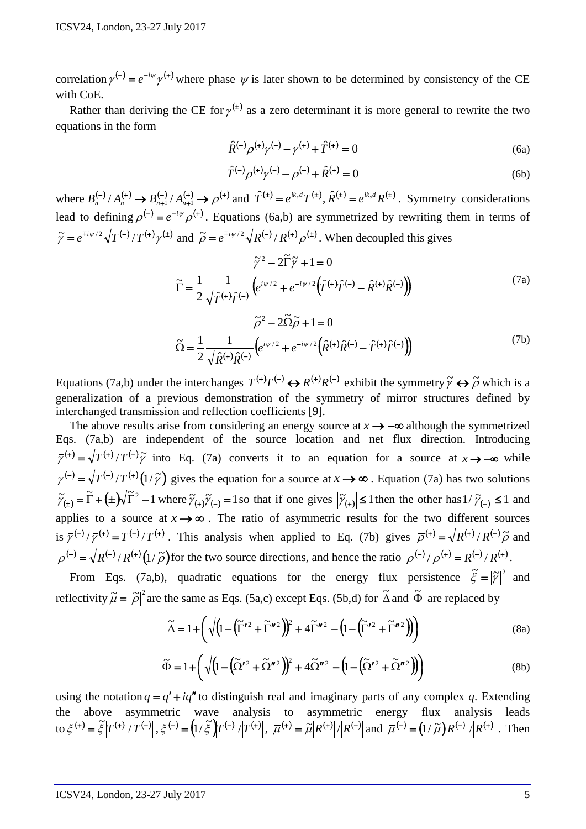correlation  $\gamma^{(-)} = e^{-i\psi} \gamma^{(+)}$  where phase  $\psi$  is later shown to be determined by consistency of the CE with CoE.

Rather than deriving the CE for  $\gamma^{(t)}$  as a zero determinant it is more general to rewrite the two equations in the form

$$
\hat{R}^{(-)}\rho^{(+)}\gamma^{(-)} - \gamma^{(+)} + \hat{T}^{(+)} = 0
$$
\n(6a)

$$
\hat{T}^{(-)}\rho^{(+)}\gamma^{(-)} - \rho^{(+)} + \hat{R}^{(+)} = 0
$$
\n(6b)

where  $B_n^{(-)}/A_n^{(+)} \rightarrow B_{n+1}^{(-)}/A_{n+1}^{(+)} \rightarrow \rho^{(+)}$  and  $\hat{T}^{(+)}=e^{ik_s d}T^{(+)}, \hat{R}^{(+)}=e^{ik_s d}R^{(+)}$ . Symmetry considerations lead to defining  $\rho^{(-)} = e^{-i\psi} \rho^{(+)}$ . Equations (6a,b) are symmetrized by rewriting them in terms of  $\tilde{\gamma} = e^{\mp i \psi/2} \sqrt{T^{(-)} / T^{(+)}} \gamma^{(+)}$  and  $\tilde{\rho} = e^{\mp i \psi/2} \sqrt{R^{(-)} / R^{(+)}} \rho^{(+)}$ . When decoupled this gives

$$
\tilde{\gamma}^2 - 2\tilde{\Gamma}\tilde{\gamma} + 1 = 0
$$

$$
\tilde{\Gamma} = \frac{1}{2} \frac{1}{\sqrt{\hat{T}^{(+)}\hat{T}^{(-)}}} \left( e^{i\psi/2} + e^{-i\psi/2} \left( \hat{T}^{(+)}\hat{T}^{(-)} - \hat{R}^{(+)}\hat{R}^{(-)} \right) \right)
$$

$$
\tilde{\rho}^2 - 2\tilde{\Omega}\tilde{\rho} + 1 = 0
$$
\n(7a)

$$
\widetilde{\Omega} = \frac{1}{2} \frac{1}{\sqrt{\hat{R}^{(+)}\hat{R}^{(-)}}} \Big( e^{i\psi/2} + e^{-i\psi/2} \Big( \hat{R}^{(+)}\hat{R}^{(-)} - \hat{T}^{(+)}\hat{T}^{(-)} \Big) \Big)
$$
(7b)

Equations (7a,b) under the interchanges  $T^{(+)}T^{(-)} \leftrightarrow R^{(+)}R^{(-)}$  exhibit the symmetry  $\tilde{\gamma} \leftrightarrow \tilde{\rho}$  which is a generalization of a previous demonstration of the symmetry of mirror structures defined by interchanged transmission and reflection coefficients [9].

The above results arise from considering an energy source at  $x \rightarrow -\infty$  although the symmetrized Eqs. (7a,b) are independent of the source location and net flux direction. Introducing  $\overline{\gamma}^{(+)} = \sqrt{\overline{T^{(+)}}/\overline{T^{(-)}}} \tilde{\gamma}$  into Eq. (7a) converts it to an equation for a source at  $x \to -\infty$  while  $\overline{\gamma}^{(-)} = \sqrt{\overline{T^{(-)}}/\overline{T^{(+)}}} (1/\tilde{\gamma})$  gives the equation for a source at  $x \to \infty$ . Equation (7a) has two solutions  $\widetilde{\gamma}_{(\pm)} = \widetilde{\Gamma} + (\pm) \sqrt{\widetilde{\Gamma}^2 - 1}$  where  $\widetilde{\gamma}_{(\pm)} \widetilde{\gamma}_{(-)} = 1$  so that if one gives  $|\widetilde{\gamma}_{(\pm)}| \le 1$  then the other has  $1/|\widetilde{\gamma}_{(-)}| \le 1$  and applies to a source at  $x \rightarrow \infty$ . The ratio of asymmetric results for the two different sources is  $\overline{\gamma}^{(-)} / \overline{\gamma}^{(+)} = T^{(-)} / T^{(+)}$ . This analysis when applied to Eq. (7b) gives  $\overline{\rho}^{(+)} = \sqrt{R^{(+)} / R^{(-)}} \tilde{\rho}$  and  $\overline{\rho}^{(-)} = \sqrt{R^{(-)}/R^{(+)}} (1/\tilde{\rho})$  for the two source directions, and hence the ratio  $\overline{\rho}^{(-)}/\overline{\rho}^{(+)} = R^{(-)}/R^{(+)}$ .

From Eqs. (7a,b), quadratic equations for the energy flux persistence  $\tilde{\xi} = |\tilde{\gamma}|^2$  and reflectivity  $\tilde{\mu} = |\tilde{\rho}|^2$  are the same as Eqs. (5a,c) except Eqs. (5b,d) for  $\tilde{\Delta}$  and  $\tilde{\Phi}$  are replaced by

$$
\widetilde{\Delta} = 1 + \left( \sqrt{\left( 1 - \left( \widetilde{\Gamma}'^2 + \widetilde{\Gamma}''^2 \right) \right)^2 + 4 \widetilde{\Gamma}''^2} - \left( 1 - \left( \widetilde{\Gamma}'^2 + \widetilde{\Gamma}''^2 \right) \right) \right) \tag{8a}
$$

$$
\widetilde{\Phi} = 1 + \left( \sqrt{\left( 1 - \left( \widetilde{\Omega}'^2 + \widetilde{\Omega}''^2 \right) \right)^2 + 4 \widetilde{\Omega}''^2} - \left( 1 - \left( \widetilde{\Omega}'^2 + \widetilde{\Omega}''^2 \right) \right) \right) \tag{8b}
$$

using the notation  $q = q' + iq''$  to distinguish real and imaginary parts of any complex *q*. Extending the above asymmetric wave analysis to asymmetric energy flux analysis leads  $\tau_{\text{tot}}(\vec{\xi}) = \frac{\vec{\xi}}{\vec{\xi}} |T^{(+)}| / |T^{(-)}|, \frac{\vec{\xi}}{\vec{\xi}}^{(-)} = (1/\tilde{\xi}) |T^{(-)}| / |T^{(+)}|, \quad \overline{\mu}^{(+)} = \tilde{\mu} |R^{(+)}| / |R^{(-)}| \text{ and } \tilde{\mu}^{(-)} = (1/\tilde{\mu}) |R^{(-)}| / |R^{(+)}|.$  Then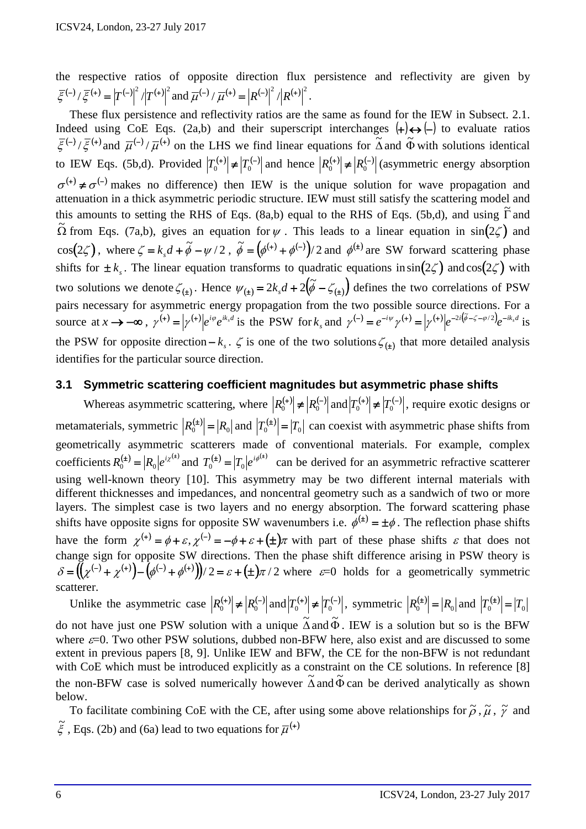the respective ratios of opposite direction flux persistence and reflectivity are given by  $\overline{\xi}^{(-)} / \overline{\xi}^{(+)} = |T^{(-)}|^2 / |T^{(+)}|^2$  and  $\overline{\mu}^{(-)} / \overline{\mu}^{(+)} = |R^{(-)}|^2 / |R^{(+)}|^2$ .

These flux persistence and reflectivity ratios are the same as found for the IEW in Subsect. 2.1. Indeed using CoE Eqs. (2a,b) and their superscript interchanges  $(+) \leftrightarrow (-)$  to evaluate ratios  $\overline{\xi}^{(-)}/\overline{\xi}^{(+)}$  and  $\overline{\mu}^{(-)}/\overline{\mu}^{(+)}$  on the LHS we find linear equations for  $\overline{\Delta}$  and  $\overline{\Phi}$  with solutions identical to IEW Eqs. (5b,d). Provided  $|T_0^{(+)}| \neq |T_0^{(-)}|$  and hence  $|R_0^{(+)}| \neq |R_0^{(-)}|$  (asymmetric energy absorption  $\sigma^{(+)} \neq \sigma^{(-)}$  makes no difference) then IEW is the unique solution for wave propagation and attenuation in a thick asymmetric periodic structure. IEW must still satisfy the scattering model and this amounts to setting the RHS of Eqs. (8a,b) equal to the RHS of Eqs. (5b,d), and using  $\overline{\Gamma}$  and  $\Omega$  from Eqs. (7a,b), gives an equation for  $\psi$ . This leads to a linear equation in sin(2 $\zeta$ ) and  $\cos(2\zeta)$ , where  $\zeta = k_{s}d + \tilde{\phi} - \psi/2$ ,  $\tilde{\phi} = (\phi^{(+)} + \phi^{(-)})/2$  and  $\phi^{(+)}$  are SW forward scattering phase shifts for  $\pm k$ . The linear equation transforms to quadratic equations in  $\sin(2\zeta)$  and  $\cos(2\zeta)$  with two solutions we denote  $\zeta_{(t)}$ . Hence  $\psi_{(t)} = 2k_s d + 2(\tilde{\phi} - \zeta_{(t)})$  defines the two correlations of PSW pairs necessary for asymmetric energy propagation from the two possible source directions. For a source at  $x \to -\infty$ ,  $\gamma^{(+)} = |\gamma^{(+)}|e^{i\varphi}e^{ik_xd}$  is the PSW for  $k_s$  and  $\gamma^{(-)} = e^{-i\psi}\gamma^{(+)} = |\gamma^{(+)}|e^{-2i(\tilde{\phi}-\zeta-\phi/2)}e^{-ik_sd}$  is the PSW for opposite direction  $-k_s$ .  $\zeta$  is one of the two solutions  $\zeta_{(t)}$  that more detailed analysis identifies for the particular source direction.

#### **3.1 Symmetric scattering coefficient magnitudes but asymmetric phase shifts**

Whereas asymmetric scattering, where  $|R_0^{(+)}| \neq |R_0^{(-)}|$  and  $|T_0^{(+)}| \neq |T_0^{(-)}|$ , require exotic designs or metamaterials, symmetric  $|R_0^{(\pm)}| = |R_0|$  and  $|T_0^{(\pm)}| = |T_0|$  can coexist with asymmetric phase shifts from geometrically asymmetric scatterers made of conventional materials. For example, complex coefficients  $R_0^{(\pm)} = |R_0|e^{i\chi^{(\pm)}}$  and  $T_0^{(\pm)} = |T_0|e^{i\phi^{(\pm)}}$  can be derived for an asymmetric refractive scatterer using well-known theory [10]. This asymmetry may be two different internal materials with different thicknesses and impedances, and noncentral geometry such as a sandwich of two or more layers. The simplest case is two layers and no energy absorption. The forward scattering phase shifts have opposite signs for opposite SW wavenumbers i.e.  $\phi^{(\pm)} = \pm \phi$ . The reflection phase shifts have the form  $\chi^{(+)} = \phi + \varepsilon$ ,  $\chi^{(-)} = -\phi + \varepsilon + (\pm)\pi$  with part of these phase shifts  $\varepsilon$  that does not change sign for opposite SW directions. Then the phase shift difference arising in PSW theory is  $\delta = ((\chi^{(-)} + \chi^{(+)}) - (\phi^{(-)} + \phi^{(+)})/2 = \varepsilon + (\pm)\pi/2$  where  $\varepsilon = 0$  holds for a geometrically symmetric scatterer.

Unlike the asymmetric case  $|R_0^{(+)}| \neq |R_0^{(-)}|$  and  $|T_0^{(+)}| \neq |T_0^{(-)}|$ , symmetric  $|R_0^{(\pm)}| = |R_0|$  and  $|T_0^{(\pm)}| = |T_0^{(\pm)}|$ 

do not have just one PSW solution with a unique  $\tilde{\Delta}$  and  $\tilde{\Phi}$ . IEW is a solution but so is the BFW where  $\varepsilon$ =0. Two other PSW solutions, dubbed non-BFW here, also exist and are discussed to some extent in previous papers [8, 9]. Unlike IEW and BFW, the CE for the non-BFW is not redundant with CoE which must be introduced explicitly as a constraint on the CE solutions. In reference [8] the non-BFW case is solved numerically however  $\tilde{\Delta}$  and  $\tilde{\Phi}$  can be derived analytically as shown below.

To facilitate combining CoE with the CE, after using some above relationships for  $\tilde{\rho}$ ,  $\tilde{\mu}$ ,  $\tilde{\gamma}$  and  $\tilde{\xi}$ , Eqs. (2b) and (6a) lead to two equations for  $\overline{\mu}^{(+)}$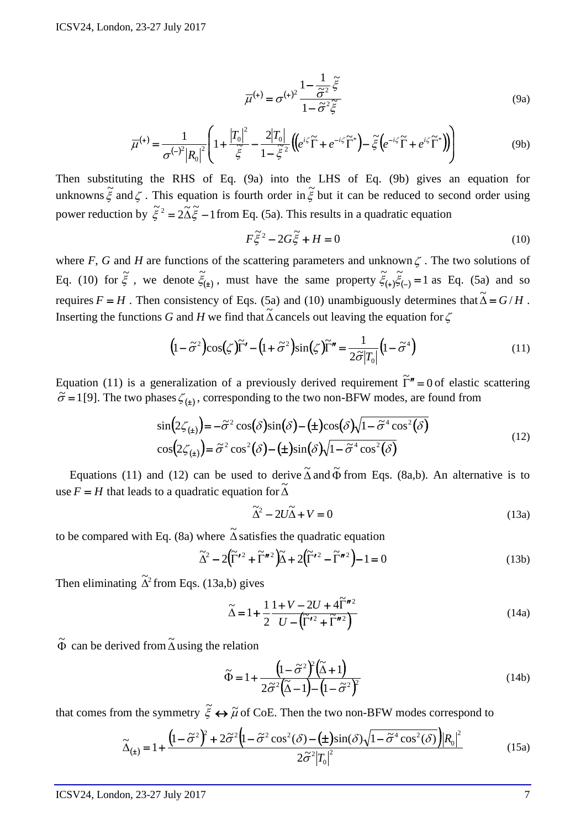$$
\overline{\mu}^{(+)} = \sigma^{(+)}^2 \frac{1 - \frac{1}{\tilde{\sigma}^2} \tilde{\xi}}{1 - \tilde{\sigma}^2 \tilde{\xi}}
$$
\n(9a)

$$
\overline{\mu}^{(+)} = \frac{1}{\sigma^{(-)^2} |R_0|^2} \left( 1 + \frac{|T_0|^2}{\tilde{\xi}} - \frac{2|T_0|}{1 - \tilde{\xi}^2} \left( \left( e^{i\zeta} \tilde{\Gamma} + e^{-i\zeta} \tilde{\Gamma}^* \right) - \tilde{\xi} \left( e^{-i\zeta} \tilde{\Gamma} + e^{i\zeta} \tilde{\Gamma}^* \right) \right) \right)
$$
(9b)

Then substituting the RHS of Eq. (9a) into the LHS of Eq. (9b) gives an equation for unknowns  $\tilde{\xi}$  and  $\zeta$ . This equation is fourth order in  $\tilde{\xi}$  but it can be reduced to second order using power reduction by  $\tilde{\xi}^2 = 2\tilde{\Delta}\tilde{\xi} - 1$  from Eq. (5a). This results in a quadratic equation

$$
F\tilde{\xi}^2 - 2G\tilde{\xi} + H = 0\tag{10}
$$

where *F*, *G* and *H* are functions of the scattering parameters and unknown  $\zeta$ . The two solutions of Eq. (10) for  $\tilde{\xi}$ , we denote  $\tilde{\xi}_{(+)}$ , must have the same property  $\tilde{\xi}_{(+)}\tilde{\xi}_{(-)}=1$  as Eq. (5a) and so requires  $F = H$ . Then consistency of Eqs. (5a) and (10) unambiguously determines that  $\tilde{\Delta} = G/H$ . Inserting the functions *G* and *H* we find that  $\tilde{\Delta}$  cancels out leaving the equation for  $\zeta$ 

$$
(1 - \tilde{\sigma}^2) \cos(\zeta) \tilde{\Gamma}' - (1 + \tilde{\sigma}^2) \sin(\zeta) \tilde{\Gamma}'' = \frac{1}{2\tilde{\sigma}|T_0|} (1 - \tilde{\sigma}^4)
$$
(11)

Equation (11) is a generalization of a previously derived requirement  $\tilde{\Gamma}'' = 0$  of elastic scattering  $\tilde{\sigma} = 1$  [9]. The two phases  $\zeta_{(\pm)}$ , corresponding to the two non-BFW modes, are found from

$$
\sin\left(2\zeta_{(1)}\right) = -\tilde{\sigma}^2 \cos\left(\delta\right)\sin\left(\delta\right) - \left(\pm\right)\cos\left(\delta\right)\sqrt{1 - \tilde{\sigma}^4 \cos^2\left(\delta\right)}
$$
\n
$$
\cos\left(2\zeta_{(1)}\right) = \tilde{\sigma}^2 \cos^2\left(\delta\right) - \left(\pm\right)\sin\left(\delta\right)\sqrt{1 - \tilde{\sigma}^4 \cos^2\left(\delta\right)}
$$
\n
$$
(12)
$$

Equations (11) and (12) can be used to derive  $\tilde{\Delta}$  and  $\tilde{\Phi}$  from Eqs. (8a,b). An alternative is to use  $F = H$  that leads to a quadratic equation for  $\tilde{\Delta}$ 

$$
\widetilde{\Delta}^2 - 2U\widetilde{\Delta} + V = 0\tag{13a}
$$

to be compared with Eq. (8a) where  $\tilde{\Delta}$  satisfies the quadratic equation

$$
\widetilde{\Delta}^2 - 2(\widetilde{\Gamma}'^2 + \widetilde{\Gamma}''^2)\widetilde{\Delta} + 2(\widetilde{\Gamma}'^2 - \widetilde{\Gamma}''^2) - 1 = 0
$$
\n(13b)

Then eliminating  $\tilde{\Delta}^2$  from Eqs. (13a,b) gives

$$
\widetilde{\Delta} = 1 + \frac{1}{2} \frac{1 + V - 2U + 4\widetilde{\Gamma}^{n2}}{U - (\widetilde{\Gamma}'^2 + \widetilde{\Gamma}'^2)}
$$
\n(14a)

 $\tilde{\Phi}$  can be derived from  $\tilde{\Delta}$  using the relation

$$
\widetilde{\Phi} = 1 + \frac{\left(1 - \widetilde{\sigma}^2\right)^2 \left(\widetilde{\Delta} + 1\right)}{2\widetilde{\sigma}^2 \left(\widetilde{\Delta} - 1\right) - \left(1 - \widetilde{\sigma}^2\right)^2}
$$
\n(14b)

that comes from the symmetry  $\tilde{\xi} \leftrightarrow \tilde{\mu}$  of CoE. Then the two non-BFW modes correspond to

$$
\widetilde{\Delta}_{(\pm)} = 1 + \frac{\left(1 - \widetilde{\sigma}^2\right)^2 + 2\widetilde{\sigma}^2 \left(1 - \widetilde{\sigma}^2 \cos^2(\delta) - (\pm)\sin(\delta)\sqrt{1 - \widetilde{\sigma}^4 \cos^2(\delta)}\right) \left|R_0\right|^2}{2\widetilde{\sigma}^2 \left|T_0\right|^2}
$$
(15a)